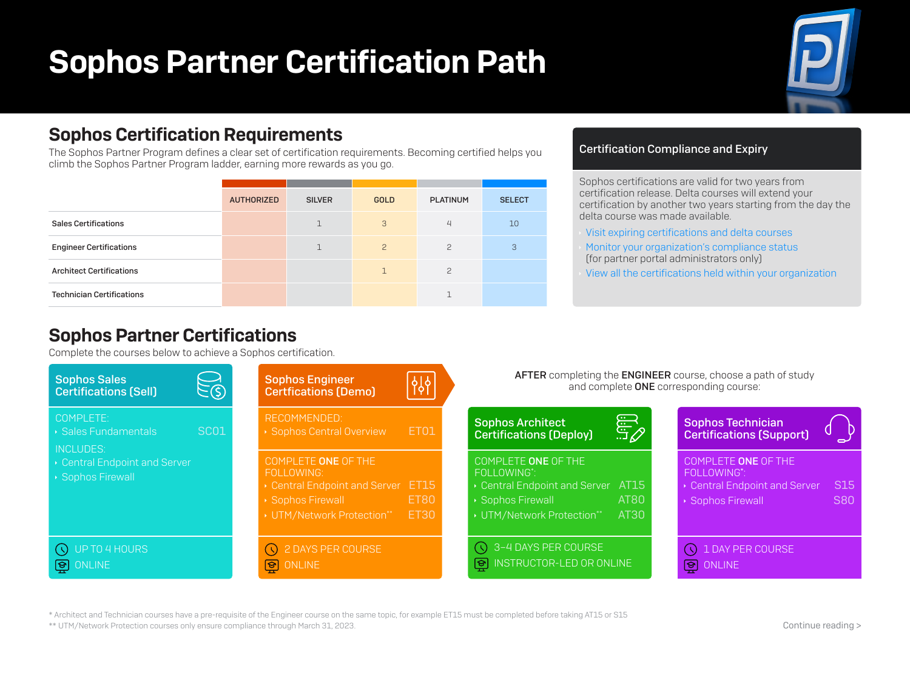# Sophos Partner Certification Path



### Sophos Certification Requirements

The Sophos Partner Program defines a clear set of certification requirements. Becoming certified helps you climb the Sophos Partner Program ladder, earning more rewards as you go.

|                                  | <b>AUTHORIZED</b> | <b>SILVER</b> | <b>GOLD</b>   | <b>PLATINUM</b> | <b>SELECT</b> |
|----------------------------------|-------------------|---------------|---------------|-----------------|---------------|
| <b>Sales Certifications</b>      |                   | $\mathbf{1}$  | 3             | $\overline{4}$  | 10            |
| <b>Engineer Certifications</b>   |                   | $\mathbf{1}$  | $\mathcal{P}$ | $\mathcal{P}$   | 3             |
| <b>Architect Certifications</b>  |                   |               | $\mathbb{1}$  | $\mathcal{P}$   |               |
| <b>Technician Certifications</b> |                   |               |               |                 |               |

#### Certification Compliance and Expiry

Sophos certifications are valid for two years from certification release. Delta courses will extend your certification by another two years starting from the day the delta course was made available.

- [Visit expiring certifications and delta courses](https://partners.sophos.com/prm/English/c/sophos-certification-lifecycle)
- [Monitor your organization's compliance status](https://partners.sophos.com/prm/English/c/program-compliance-overview) (for partner portal administrators only)
- [View all the certifications held within your organization](https://3.id.sophos.com/sso/saml2/NetExamCustomersSID3/login?RelayState=%2Fsaml%2Fnetexam%2Fauthenticate.php%3Fdestination%3Dcenter-panel:main-ui-group-transcript)

### Sophos Partner Certifications

Complete the courses below to achieve a Sophos certification.



\* Architect and Technician courses have a pre-requisite of the Engineer course on the same topic, for example ET15 must be completed before taking AT15 or S15

\*\* UTM/Network Protection courses only ensure compliance through March 31, 2023.